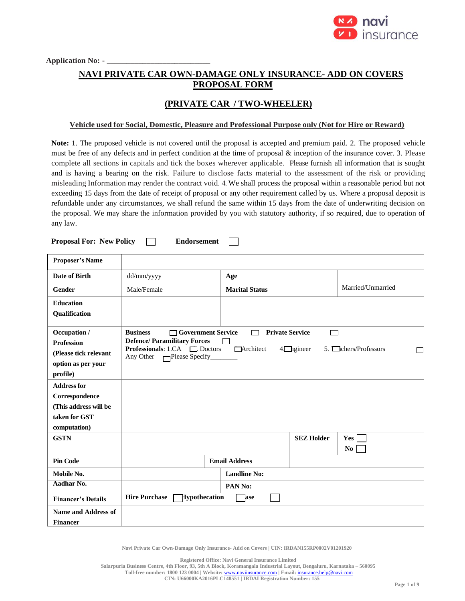

Application No: - \_\_

# **NAVI PRIVATE CAR OWN-DAMAGE ONLY INSURANCE- ADD ON COVERS PROPOSAL FORM**

## **(PRIVATE CAR / TWO-WHEELER)**

#### **Vehicle used for Social, Domestic, Pleasure and Professional Purpose only (Not for Hire or Reward)**

**Note:** 1. The proposed vehicle is not covered until the proposal is accepted and premium paid. 2. The proposed vehicle must be free of any defects and in perfect condition at the time of proposal & inception of the insurance cover. 3. Please complete all sections in capitals and tick the boxes wherever applicable. Please furnish all information that is sought and is having a bearing on the risk. Failure to disclose facts material to the assessment of the risk or providing misleading Information may render the contract void. 4. We shall process the proposal within a reasonable period but not exceeding 15 days from the date of receipt of proposal or any other requirement called by us. Where a proposal deposit is refundable under any circumstances, we shall refund the same within 15 days from the date of underwriting decision on the proposal. We may share the information provided by you with statutory authority, if so required, due to operation of any law.

**Proposal For: New Policy The Endorsement** 

 $\Box$ 

| <b>Proposer's Name</b>                                                                         |                                                                                                                                                                |                                          |                         |                              |
|------------------------------------------------------------------------------------------------|----------------------------------------------------------------------------------------------------------------------------------------------------------------|------------------------------------------|-------------------------|------------------------------|
| <b>Date of Birth</b>                                                                           | dd/mm/yyyy                                                                                                                                                     | Age                                      |                         |                              |
| Gender                                                                                         | Male/Female                                                                                                                                                    | <b>Marital Status</b>                    |                         | Married/Unmarried            |
| <b>Education</b><br>Qualification                                                              |                                                                                                                                                                |                                          |                         |                              |
| Occupation /<br><b>Profession</b><br>(Please tick relevant<br>option as per your<br>profile)   | <b>Business</b><br>□ Government Service<br><b>Defence/Paramilitary Forces</b><br><b>Professionals:</b> 1.CA $\Box$ Doctors<br>Any Other Please Specify________ | <b>Private Service</b><br>┍<br>Architect | г<br>$4$ $\Box$ ngineer | $5.$ $\Box$ chers/Professors |
| <b>Address for</b><br>Correspondence<br>(This address will be<br>taken for GST<br>computation) |                                                                                                                                                                |                                          |                         |                              |
| <b>GSTN</b>                                                                                    |                                                                                                                                                                |                                          | <b>SEZ Holder</b>       | Yes<br>N <sub>0</sub>        |
| <b>Pin Code</b>                                                                                |                                                                                                                                                                | <b>Email Address</b>                     |                         |                              |
| Mobile No.                                                                                     |                                                                                                                                                                | <b>Landline No:</b>                      |                         |                              |
| Aadhar No.                                                                                     |                                                                                                                                                                | PAN No:                                  |                         |                              |
| <b>Financer's Details</b>                                                                      | <b>Hire Purchase</b><br>Hypothecation                                                                                                                          | ase                                      |                         |                              |
| <b>Name and Address of</b><br><b>Financer</b>                                                  |                                                                                                                                                                |                                          |                         |                              |

**Navi Private Car Own-Damage Only Insurance- Add on Covers | UIN: IRDAN155RP0002V01201920**

**Registered Office: Navi General Insurance Limited**

**Toll-free number: 1800 123 0004 | Website:** [www.naviinsurance.com](http://www.naviinsurance.com/) **| Email:** [insurance.help@navi.com](mailto:insurance.help@navi.com)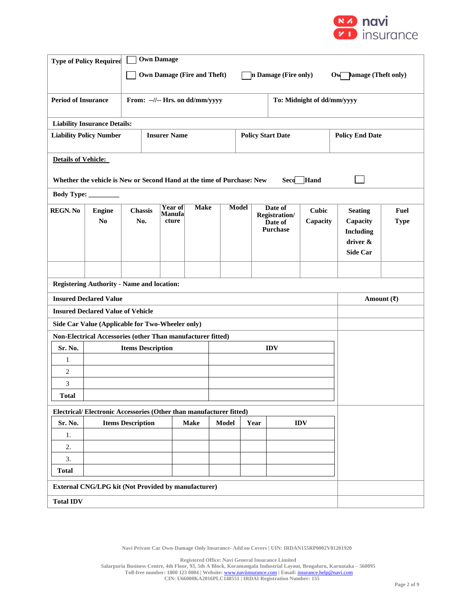

|                                | <b>Own Damage</b><br><b>Type of Policy Required</b><br><b>Own Damage (Fire and Theft)</b><br>In Damage (Fire only)<br><b>Pamage (Theft only)</b><br>$\mathbf{O}$ w |                          |  |                                          |              |                    |              |  |                                                        |                          |                                                                                  |                     |  |  |
|--------------------------------|--------------------------------------------------------------------------------------------------------------------------------------------------------------------|--------------------------|--|------------------------------------------|--------------|--------------------|--------------|--|--------------------------------------------------------|--------------------------|----------------------------------------------------------------------------------|---------------------|--|--|
|                                |                                                                                                                                                                    |                          |  |                                          |              |                    |              |  |                                                        |                          |                                                                                  |                     |  |  |
|                                | <b>Period of Insurance</b><br>To: Midnight of dd/mm/yyyy<br>From: --//-- Hrs. on dd/mm/yyyy                                                                        |                          |  |                                          |              |                    |              |  |                                                        |                          |                                                                                  |                     |  |  |
|                                | <b>Liability Insurance Details:</b>                                                                                                                                |                          |  |                                          |              |                    |              |  |                                                        |                          |                                                                                  |                     |  |  |
|                                | <b>Liability Policy Number</b>                                                                                                                                     |                          |  | <b>Insurer Name</b>                      |              |                    |              |  | <b>Policy Start Date</b>                               |                          | <b>Policy End Date</b>                                                           |                     |  |  |
| <b>Details of Vehicle:</b>     |                                                                                                                                                                    |                          |  |                                          |              |                    |              |  |                                                        |                          |                                                                                  |                     |  |  |
|                                | Whether the vehicle is New or Second Hand at the time of Purchase: New                                                                                             |                          |  |                                          |              |                    |              |  | <b>Seco</b>                                            | Hand                     |                                                                                  |                     |  |  |
| <b>Body Type:</b>              |                                                                                                                                                                    |                          |  |                                          |              |                    |              |  |                                                        |                          |                                                                                  |                     |  |  |
| <b>REGN. No</b>                | <b>Engine</b><br>N <sub>0</sub>                                                                                                                                    | Chassis<br>No.           |  | <b>Year of</b><br><b>Manufa</b><br>cture | <b>Make</b>  |                    | <b>Model</b> |  | Date of<br>Registration/<br>Date of<br><b>Purchase</b> | <b>Cubic</b><br>Capacity | <b>Seating</b><br>Capacity<br><b>Including</b><br>driver $\&$<br><b>Side Car</b> | Fuel<br><b>Type</b> |  |  |
|                                |                                                                                                                                                                    |                          |  |                                          |              |                    |              |  |                                                        |                          |                                                                                  |                     |  |  |
|                                | <b>Registering Authority - Name and location:</b>                                                                                                                  |                          |  |                                          |              |                    |              |  |                                                        |                          |                                                                                  |                     |  |  |
|                                | <b>Insured Declared Value</b>                                                                                                                                      |                          |  |                                          |              |                    |              |  |                                                        |                          | Amount $(\overline{\mathbf{x}})$                                                 |                     |  |  |
|                                | <b>Insured Declared Value of Vehicle</b>                                                                                                                           |                          |  |                                          |              |                    |              |  |                                                        |                          |                                                                                  |                     |  |  |
|                                | Side Car Value (Applicable for Two-Wheeler only)                                                                                                                   |                          |  |                                          |              |                    |              |  |                                                        |                          |                                                                                  |                     |  |  |
|                                | Non-Electrical Accessories (other Than manufacturer fitted)                                                                                                        |                          |  |                                          |              |                    |              |  |                                                        |                          |                                                                                  |                     |  |  |
| Sr. No.                        |                                                                                                                                                                    | <b>Items Description</b> |  |                                          |              |                    |              |  | <b>IDV</b>                                             |                          |                                                                                  |                     |  |  |
| $\mathbf{1}$<br>$\overline{c}$ |                                                                                                                                                                    |                          |  |                                          |              |                    |              |  |                                                        |                          |                                                                                  |                     |  |  |
| 3                              |                                                                                                                                                                    |                          |  |                                          |              |                    |              |  |                                                        |                          |                                                                                  |                     |  |  |
| <b>Total</b>                   |                                                                                                                                                                    |                          |  |                                          |              |                    |              |  |                                                        |                          |                                                                                  |                     |  |  |
|                                |                                                                                                                                                                    |                          |  |                                          |              |                    |              |  |                                                        |                          |                                                                                  |                     |  |  |
| Sr. No.                        | Electrical/Electronic Accessories (Other than manufacturer fitted)<br><b>Items Description</b><br><b>Make</b>                                                      |                          |  |                                          | <b>Model</b> | Year<br><b>IDV</b> |              |  |                                                        |                          |                                                                                  |                     |  |  |
| 1.                             |                                                                                                                                                                    |                          |  |                                          |              |                    |              |  |                                                        |                          |                                                                                  |                     |  |  |
| 2.                             |                                                                                                                                                                    |                          |  |                                          |              |                    |              |  |                                                        |                          |                                                                                  |                     |  |  |
|                                | 3.                                                                                                                                                                 |                          |  |                                          |              |                    |              |  |                                                        |                          |                                                                                  |                     |  |  |
| <b>Total</b>                   |                                                                                                                                                                    |                          |  |                                          |              |                    |              |  |                                                        |                          |                                                                                  |                     |  |  |
|                                | <b>External CNG/LPG kit (Not Provided by manufacturer)</b>                                                                                                         |                          |  |                                          |              |                    |              |  |                                                        |                          |                                                                                  |                     |  |  |
| <b>Total IDV</b>               |                                                                                                                                                                    |                          |  |                                          |              |                    |              |  |                                                        |                          |                                                                                  |                     |  |  |

**Registered Office: Navi General Insurance Limited**

**Salarpuria Business Centre, 4th Floor, 93, 5th A Block, Koramangala Industrial Layout, Bengaluru, Karnataka – 560095 Toll-free number: 1800 123 0004 | Website:** [www.naviinsurance.com](http://www.naviinsurance.com/) **| Email:** [insurance.help@navi.com](mailto:insurance.help@navi.com)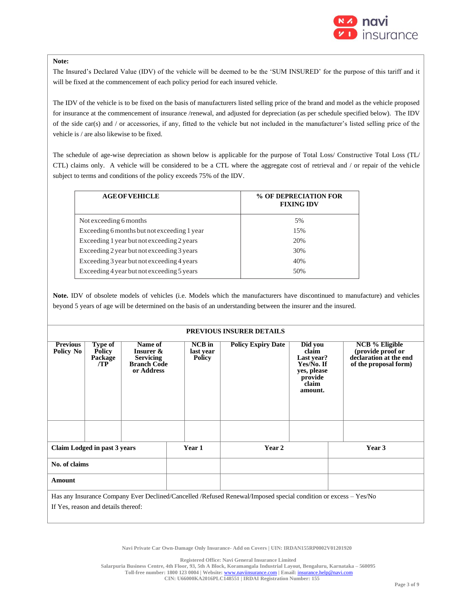

#### **Note:**

The Insured's Declared Value (IDV) of the vehicle will be deemed to be the 'SUM INSURED' for the purpose of this tariff and it will be fixed at the commencement of each policy period for each insured vehicle.

The IDV of the vehicle is to be fixed on the basis of manufacturers listed selling price of the brand and model as the vehicle proposed for insurance at the commencement of insurance /renewal, and adjusted for depreciation (as per schedule specified below). The IDV of the side car(s) and / or accessories, if any, fitted to the vehicle but not included in the manufacturer's listed selling price of the vehicle is / are also likewise to be fixed.

The schedule of age-wise depreciation as shown below is applicable for the purpose of Total Loss/ Constructive Total Loss (TL/ CTL) claims only. A vehicle will be considered to be a CTL where the aggregate cost of retrieval and / or repair of the vehicle subject to terms and conditions of the policy exceeds 75% of the IDV.

| <b>AGE OF VEHICLE</b>                       | % OF DEPRECIATION FOR<br><b>FIXING IDV</b> |
|---------------------------------------------|--------------------------------------------|
| Not exceeding 6 months                      | 5%                                         |
| Exceeding 6 months but not exceeding 1 year | 15%                                        |
| Exceeding 1 year but not exceeding 2 years  | 20%                                        |
| Exceeding 2 year but not exceeding 3 years  | 30%                                        |
| Exceeding 3 year but not exceeding 4 years  | 40%                                        |
| Exceeding 4 year but not exceeding 5 years  | 50%                                        |

**Note.** IDV of obsolete models of vehicles (i.e. Models which the manufacturers have discontinued to manufacture) and vehicles beyond 5 years of age will be determined on the basis of an understanding between the insurer and the insured.

#### **PREVIOUS INSURER DETAILS**

| <b>Previous</b><br>Policy No                                                                                                                           | Type of<br><b>Policy</b><br>Package<br>/TP | Name of<br>Insurer &<br><b>Servicing</b><br><b>Branch Code</b><br>or Address |        | $NCB$ in<br><b>Policy Expiry Date</b><br>last year<br><b>Policy</b> |  | Did you<br>claim<br>Last year?<br>Yes/No. If<br>yes, please<br>provide<br>claim<br>amount. |        | <b>NCB</b> % Eligible<br>(provide proof or<br>declaration at the end<br>of the proposal form) |  |
|--------------------------------------------------------------------------------------------------------------------------------------------------------|--------------------------------------------|------------------------------------------------------------------------------|--------|---------------------------------------------------------------------|--|--------------------------------------------------------------------------------------------|--------|-----------------------------------------------------------------------------------------------|--|
|                                                                                                                                                        |                                            |                                                                              |        |                                                                     |  |                                                                                            |        |                                                                                               |  |
| Claim Lodged in past 3 years                                                                                                                           |                                            |                                                                              | Year 1 | Year 2                                                              |  |                                                                                            | Year 3 |                                                                                               |  |
| No. of claims                                                                                                                                          |                                            |                                                                              |        |                                                                     |  |                                                                                            |        |                                                                                               |  |
| Amount                                                                                                                                                 |                                            |                                                                              |        |                                                                     |  |                                                                                            |        |                                                                                               |  |
| Has any Insurance Company Ever Declined/Cancelled /Refused Renewal/Imposed special condition or excess – Yes/No<br>If Yes, reason and details thereof: |                                            |                                                                              |        |                                                                     |  |                                                                                            |        |                                                                                               |  |
|                                                                                                                                                        |                                            |                                                                              |        |                                                                     |  |                                                                                            |        |                                                                                               |  |

**Navi Private Car Own-Damage Only Insurance- Add on Covers | UIN: IRDAN155RP0002V01201920**

**Registered Office: Navi General Insurance Limited**

**Salarpuria Business Centre, 4th Floor, 93, 5th A Block, Koramangala Industrial Layout, Bengaluru, Karnataka – 560095**

**Toll-free number: 1800 123 0004 | Website:** [www.naviinsurance.com](http://www.naviinsurance.com/) **| Email:** [insurance.help@navi.com](mailto:insurance.help@navi.com)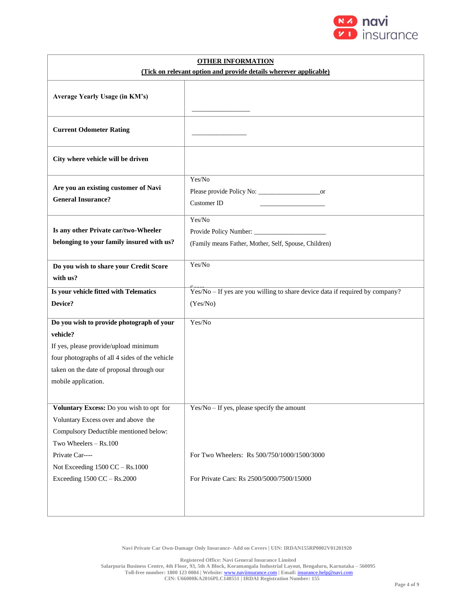

| <b>OTHER INFORMATION</b><br>(Tick on relevant option and provide details wherever applicable) |                                                                              |  |  |  |  |
|-----------------------------------------------------------------------------------------------|------------------------------------------------------------------------------|--|--|--|--|
|                                                                                               |                                                                              |  |  |  |  |
| Average Yearly Usage (in KM's)                                                                |                                                                              |  |  |  |  |
| <b>Current Odometer Rating</b>                                                                |                                                                              |  |  |  |  |
| City where vehicle will be driven                                                             |                                                                              |  |  |  |  |
| Are you an existing customer of Navi<br><b>General Insurance?</b>                             | Yes/No<br><b>Customer ID</b>                                                 |  |  |  |  |
| Is any other Private car/two-Wheeler<br>belonging to your family insured with us?             | Yes/No<br>(Family means Father, Mother, Self, Spouse, Children)              |  |  |  |  |
| Do you wish to share your Credit Score<br>with us?                                            | Yes/No                                                                       |  |  |  |  |
| Is your vehicle fitted with Telematics                                                        | Yes/No - If yes are you willing to share device data if required by company? |  |  |  |  |
| Device?                                                                                       | (Yes/No)                                                                     |  |  |  |  |
| Do you wish to provide photograph of your                                                     | Yes/No                                                                       |  |  |  |  |
| vehicle?                                                                                      |                                                                              |  |  |  |  |
| If yes, please provide/upload minimum                                                         |                                                                              |  |  |  |  |
| four photographs of all 4 sides of the vehicle                                                |                                                                              |  |  |  |  |
| taken on the date of proposal through our                                                     |                                                                              |  |  |  |  |
| mobile application.                                                                           |                                                                              |  |  |  |  |
|                                                                                               |                                                                              |  |  |  |  |
| Voluntary Excess: Do you wish to opt for                                                      | $Yes/No - If yes, please specify the amount$                                 |  |  |  |  |
| Voluntary Excess over and above the                                                           |                                                                              |  |  |  |  |
| Compulsory Deductible mentioned below:                                                        |                                                                              |  |  |  |  |
| Two Wheelers - Rs.100                                                                         |                                                                              |  |  |  |  |
| Private Car----                                                                               | For Two Wheelers: Rs 500/750/1000/1500/3000                                  |  |  |  |  |
| Not Exceeding 1500 CC - Rs.1000                                                               |                                                                              |  |  |  |  |
| Exceeding 1500 CC - Rs.2000                                                                   | For Private Cars: Rs 2500/5000/7500/15000                                    |  |  |  |  |
|                                                                                               |                                                                              |  |  |  |  |

**Registered Office: Navi General Insurance Limited Salarpuria Business Centre, 4th Floor, 93, 5th A Block, Koramangala Industrial Layout, Bengaluru, Karnataka – 560095 Toll-free number: 1800 123 0004 | Website:** [www.naviinsurance.com](http://www.naviinsurance.com/) **| Email:** [insurance.help@navi.com](mailto:insurance.help@navi.com) **CIN: U66000KA2016PLC148551 | IRDAI Registration Number: 155**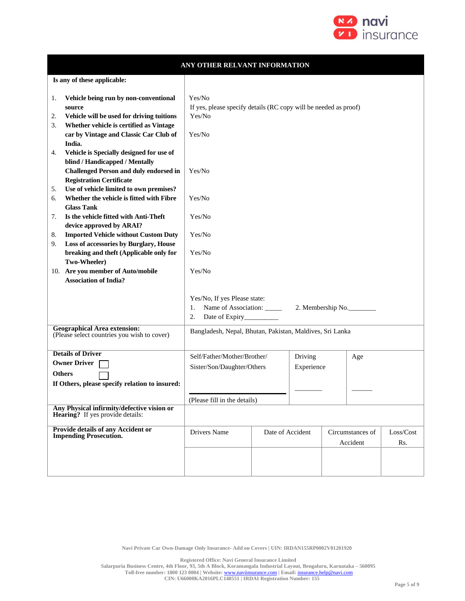

|                                                                                                                                                                                                     | ANY OTHER RELVANT INFORMATION                                                                      |                       |  |                              |                   |                  |  |
|-----------------------------------------------------------------------------------------------------------------------------------------------------------------------------------------------------|----------------------------------------------------------------------------------------------------|-----------------------|--|------------------------------|-------------------|------------------|--|
| Is any of these applicable:                                                                                                                                                                         |                                                                                                    |                       |  |                              |                   |                  |  |
| Vehicle being run by non-conventional<br>1.<br>source<br>Vehicle will be used for driving tuitions<br>2.<br>Whether vehicle is certified as Vintage<br>3.<br>car by Vintage and Classic Car Club of | Yes/No<br>If yes, please specify details (RC copy will be needed as proof)<br>Yes/No<br>Yes/No     |                       |  |                              |                   |                  |  |
| India.<br>Vehicle is Specially designed for use of<br>4.<br>blind / Handicapped / Mentally<br><b>Challenged Person and duly endorsed in</b><br><b>Registration Certificate</b>                      | Yes/No                                                                                             |                       |  |                              |                   |                  |  |
| Use of vehicle limited to own premises?<br>5.<br>Whether the vehicle is fitted with Fibre<br>6.                                                                                                     | Yes/No                                                                                             |                       |  |                              |                   |                  |  |
| <b>Glass Tank</b><br>Is the vehicle fitted with Anti-Theft<br>7.<br>device approved by ARAI?                                                                                                        | Yes/No                                                                                             |                       |  |                              |                   |                  |  |
| <b>Imported Vehicle without Custom Duty</b><br>8.<br>Loss of accessories by Burglary, House<br>9.                                                                                                   | Yes/No                                                                                             |                       |  |                              |                   |                  |  |
| breaking and theft (Applicable only for<br>Two-Wheeler)                                                                                                                                             | Yes/No                                                                                             |                       |  |                              |                   |                  |  |
| 10. Are you member of Auto/mobile<br><b>Association of India?</b>                                                                                                                                   | Yes/No                                                                                             |                       |  |                              |                   |                  |  |
|                                                                                                                                                                                                     | Yes/No, If yes Please state:<br>Name of Association: _____<br>1.<br>2.<br>Date of Expiry__________ |                       |  |                              | 2. Membership No. |                  |  |
| <b>Geographical Area extension:</b><br>(Please select countries you wish to cover)                                                                                                                  | Bangladesh, Nepal, Bhutan, Pakistan, Maldives, Sri Lanka                                           |                       |  |                              |                   |                  |  |
| <b>Details of Driver</b><br><b>Owner Driver</b><br><b>Others</b><br>If Others, please specify relation to insured:                                                                                  | Self/Father/Mother/Brother/<br>Sister/Son/Daughter/Others                                          | Driving<br>Experience |  | Age                          |                   |                  |  |
|                                                                                                                                                                                                     | (Please fill in the details)                                                                       |                       |  |                              |                   |                  |  |
| Any Physical infirmity/defective vision or<br>Hearing? If yes provide details:                                                                                                                      |                                                                                                    |                       |  |                              |                   |                  |  |
| Provide details of any Accident or<br><b>Impending Prosecution.</b>                                                                                                                                 | Drivers Name                                                                                       | Date of Accident      |  | Circumstances of<br>Accident |                   | Loss/Cost<br>Rs. |  |
|                                                                                                                                                                                                     |                                                                                                    |                       |  |                              |                   |                  |  |

**Registered Office: Navi General Insurance Limited**

**Salarpuria Business Centre, 4th Floor, 93, 5th A Block, Koramangala Industrial Layout, Bengaluru, Karnataka – 560095**

**Toll-free number: 1800 123 0004 | Website:** [www.naviinsurance.com](http://www.naviinsurance.com/) **| Email:** [insurance.help@navi.com](mailto:insurance.help@navi.com)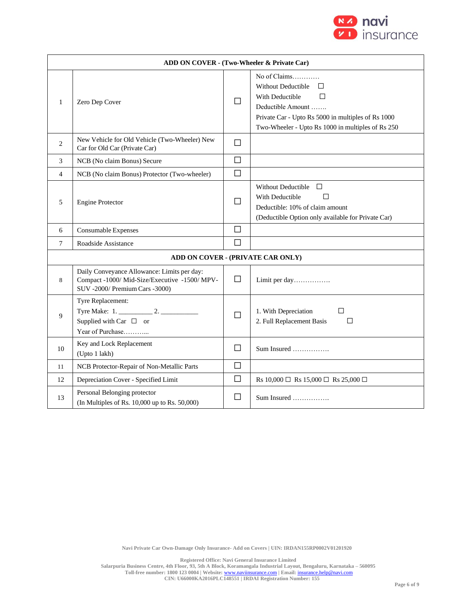

|                | ADD ON COVER - (Two-Wheeler & Private Car)                                                                                     |              |                                                                                                                                                                                                        |  |  |  |  |  |
|----------------|--------------------------------------------------------------------------------------------------------------------------------|--------------|--------------------------------------------------------------------------------------------------------------------------------------------------------------------------------------------------------|--|--|--|--|--|
| 1              | Zero Dep Cover                                                                                                                 | $\mathsf{L}$ | No of Claims<br><b>Without Deductible</b><br>П<br>With Deductible<br>П<br>Deductible Amount<br>Private Car - Upto Rs 5000 in multiples of Rs 1000<br>Two-Wheeler - Upto Rs 1000 in multiples of Rs 250 |  |  |  |  |  |
| 2              | New Vehicle for Old Vehicle (Two-Wheeler) New<br>Car for Old Car (Private Car)                                                 | П            |                                                                                                                                                                                                        |  |  |  |  |  |
| 3              | NCB (No claim Bonus) Secure                                                                                                    | $\Box$       |                                                                                                                                                                                                        |  |  |  |  |  |
| $\overline{4}$ | NCB (No claim Bonus) Protector (Two-wheeler)                                                                                   | $\Box$       |                                                                                                                                                                                                        |  |  |  |  |  |
| 5              | <b>Engine Protector</b>                                                                                                        | П            | Without Deductible $\Box$<br>With Deductible<br>$\mathsf{L}$<br>Deductible: 10% of claim amount<br>(Deductible Option only available for Private Car)                                                  |  |  |  |  |  |
| 6              | Consumable Expenses                                                                                                            | П            |                                                                                                                                                                                                        |  |  |  |  |  |
| 7              | Roadside Assistance                                                                                                            | $\Box$       |                                                                                                                                                                                                        |  |  |  |  |  |
|                | ADD ON COVER - (PRIVATE CAR ONLY)                                                                                              |              |                                                                                                                                                                                                        |  |  |  |  |  |
| 8              | Daily Conveyance Allowance: Limits per day:<br>Compact -1000/ Mid-Size/Executive -1500/ MPV-<br>SUV -2000/ Premium Cars -3000) | $\Box$       | Limit per day                                                                                                                                                                                          |  |  |  |  |  |
| 9              | Tyre Replacement:<br>Supplied with Car $\Box$ or<br>Year of Purchase                                                           | $\Box$       | П<br>1. With Depreciation<br>2. Full Replacement Basis<br>$\Box$                                                                                                                                       |  |  |  |  |  |
| 10             | Key and Lock Replacement<br>(Upto 1 lakh)                                                                                      | $\Box$       | Sum Insured                                                                                                                                                                                            |  |  |  |  |  |
| 11             | NCB Protector-Repair of Non-Metallic Parts                                                                                     | $\Box$       |                                                                                                                                                                                                        |  |  |  |  |  |
| 12             | Depreciation Cover - Specified Limit                                                                                           | $\Box$       | Rs 10,000 $\Box$ Rs 15,000 $\Box$ Rs 25,000 $\Box$                                                                                                                                                     |  |  |  |  |  |
| 13             | Personal Belonging protector<br>(In Multiples of Rs. 10,000 up to Rs. 50,000)                                                  | $\mathsf{L}$ | $Sum\ Insured$                                                                                                                                                                                         |  |  |  |  |  |

**Registered Office: Navi General Insurance Limited**

**Salarpuria Business Centre, 4th Floor, 93, 5th A Block, Koramangala Industrial Layout, Bengaluru, Karnataka – 560095 Toll-free number: 1800 123 0004 | Website:** [www.naviinsurance.com](http://www.naviinsurance.com/) **| Email:** [insurance.help@navi.com](mailto:insurance.help@navi.com)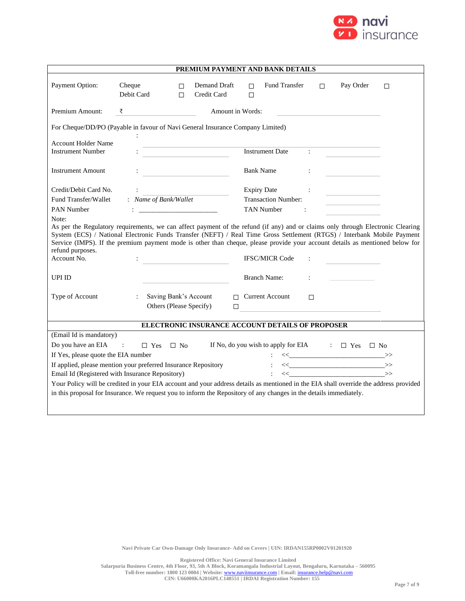

|                                                                                                                                                                                                                                                                                                                                                                                                                               |                                                                                                                                                                                                                                                                                                                                                                                                                                                                                                   |           |                                                  |                  | PREMIUM PAYMENT AND BANK DETAILS                        |        |                                                                                                                                                                                                                                                                                                                                                                                                                                                                                                                                                               |        |
|-------------------------------------------------------------------------------------------------------------------------------------------------------------------------------------------------------------------------------------------------------------------------------------------------------------------------------------------------------------------------------------------------------------------------------|---------------------------------------------------------------------------------------------------------------------------------------------------------------------------------------------------------------------------------------------------------------------------------------------------------------------------------------------------------------------------------------------------------------------------------------------------------------------------------------------------|-----------|--------------------------------------------------|------------------|---------------------------------------------------------|--------|---------------------------------------------------------------------------------------------------------------------------------------------------------------------------------------------------------------------------------------------------------------------------------------------------------------------------------------------------------------------------------------------------------------------------------------------------------------------------------------------------------------------------------------------------------------|--------|
| Payment Option:                                                                                                                                                                                                                                                                                                                                                                                                               | Cheque<br>Debit Card                                                                                                                                                                                                                                                                                                                                                                                                                                                                              | □<br>П    | Demand Draft<br>Credit Card                      | П<br>$\Box$      | <b>Fund Transfer</b>                                    | П      | Pay Order                                                                                                                                                                                                                                                                                                                                                                                                                                                                                                                                                     | $\Box$ |
| Premium Amount:                                                                                                                                                                                                                                                                                                                                                                                                               | ₹                                                                                                                                                                                                                                                                                                                                                                                                                                                                                                 |           |                                                  | Amount in Words: |                                                         |        |                                                                                                                                                                                                                                                                                                                                                                                                                                                                                                                                                               |        |
| For Cheque/DD/PO (Payable in favour of Navi General Insurance Company Limited)                                                                                                                                                                                                                                                                                                                                                |                                                                                                                                                                                                                                                                                                                                                                                                                                                                                                   |           |                                                  |                  |                                                         |        |                                                                                                                                                                                                                                                                                                                                                                                                                                                                                                                                                               |        |
| <b>Account Holder Name</b><br><b>Instrument Number</b>                                                                                                                                                                                                                                                                                                                                                                        |                                                                                                                                                                                                                                                                                                                                                                                                                                                                                                   |           |                                                  |                  | <b>Instrument Date</b>                                  |        |                                                                                                                                                                                                                                                                                                                                                                                                                                                                                                                                                               |        |
| <b>Instrument Amount</b>                                                                                                                                                                                                                                                                                                                                                                                                      |                                                                                                                                                                                                                                                                                                                                                                                                                                                                                                   |           |                                                  |                  | <b>Bank Name</b>                                        |        |                                                                                                                                                                                                                                                                                                                                                                                                                                                                                                                                                               |        |
| Credit/Debit Card No.                                                                                                                                                                                                                                                                                                                                                                                                         |                                                                                                                                                                                                                                                                                                                                                                                                                                                                                                   |           |                                                  |                  | <b>Expiry Date</b>                                      |        |                                                                                                                                                                                                                                                                                                                                                                                                                                                                                                                                                               |        |
| Fund Transfer/Wallet                                                                                                                                                                                                                                                                                                                                                                                                          | : Name of Bank/Wallet                                                                                                                                                                                                                                                                                                                                                                                                                                                                             |           |                                                  |                  | <b>Transaction Number:</b>                              |        |                                                                                                                                                                                                                                                                                                                                                                                                                                                                                                                                                               |        |
| <b>PAN Number</b><br>Note:                                                                                                                                                                                                                                                                                                                                                                                                    | $\begin{minipage}{.4\linewidth} \begin{tabular}{l} \multicolumn{2}{c} {\textbf{1}} & \multicolumn{2}{c} {\textbf{2}} & \multicolumn{2}{c} {\textbf{3}} \\ \multicolumn{2}{c} {\textbf{4}} & \multicolumn{2}{c} {\textbf{5}} & \multicolumn{2}{c} {\textbf{6}} \\ \multicolumn{2}{c} {\textbf{5}} & \multicolumn{2}{c} {\textbf{6}} & \multicolumn{2}{c} {\textbf{6}} \\ \multicolumn{2}{c} {\textbf{6}} & \multicolumn{2}{c} {\textbf{6}} & \multicolumn{2}{c} {\textbf{6}} \\ \multicolumn{2}{c$ |           |                                                  |                  | <b>TAN Number</b><br>$\sim$ $\sim$ $\sim$ $\sim$ $\sim$ |        |                                                                                                                                                                                                                                                                                                                                                                                                                                                                                                                                                               |        |
| As per the Regulatory requirements, we can affect payment of the refund (if any) and or claims only through Electronic Clearing<br>System (ECS) / National Electronic Funds Transfer (NEFT) / Real Time Gross Settlement (RTGS) / Interbank Mobile Payment<br>Service (IMPS). If the premium payment mode is other than cheque, please provide your account details as mentioned below for<br>refund purposes.<br>Account No. |                                                                                                                                                                                                                                                                                                                                                                                                                                                                                                   |           |                                                  |                  | <b>IFSC/MICR Code</b>                                   |        |                                                                                                                                                                                                                                                                                                                                                                                                                                                                                                                                                               |        |
| <b>UPI ID</b>                                                                                                                                                                                                                                                                                                                                                                                                                 |                                                                                                                                                                                                                                                                                                                                                                                                                                                                                                   |           |                                                  |                  | <b>Branch Name:</b>                                     |        |                                                                                                                                                                                                                                                                                                                                                                                                                                                                                                                                                               |        |
| Type of Account                                                                                                                                                                                                                                                                                                                                                                                                               | $\mathcal{L}$                                                                                                                                                                                                                                                                                                                                                                                                                                                                                     |           | Saving Bank's Account<br>Others (Please Specify) | $\Box$           | $\Box$ Current Account                                  | $\Box$ |                                                                                                                                                                                                                                                                                                                                                                                                                                                                                                                                                               |        |
| ELECTRONIC INSURANCE ACCOUNT DETAILS OF PROPOSER                                                                                                                                                                                                                                                                                                                                                                              |                                                                                                                                                                                                                                                                                                                                                                                                                                                                                                   |           |                                                  |                  |                                                         |        |                                                                                                                                                                                                                                                                                                                                                                                                                                                                                                                                                               |        |
| (Email Id is mandatory)                                                                                                                                                                                                                                                                                                                                                                                                       |                                                                                                                                                                                                                                                                                                                                                                                                                                                                                                   |           |                                                  |                  |                                                         |        |                                                                                                                                                                                                                                                                                                                                                                                                                                                                                                                                                               |        |
| Do you have an EIA                                                                                                                                                                                                                                                                                                                                                                                                            | $\sim 1000$<br>$\Box$ Yes                                                                                                                                                                                                                                                                                                                                                                                                                                                                         | $\Box$ No |                                                  |                  |                                                         |        | If No, do you wish to apply for EIA $\Box$ Yes $\Box$ No                                                                                                                                                                                                                                                                                                                                                                                                                                                                                                      |        |
| If Yes, please quote the EIA number                                                                                                                                                                                                                                                                                                                                                                                           |                                                                                                                                                                                                                                                                                                                                                                                                                                                                                                   |           |                                                  |                  |                                                         |        | $\left\langle \!\left\langle \begin{array}{c} \rule{0.3cm}{0.15mm} \rule{0.3cm}{0.15mm} \end{array} \right. \!\! \right. \! \left. \begin{array}{c} \rule{0.3cm}{0.15mm} \rule{0.3cm}{0.15mm} \end{array} \right\rangle \!\!>$                                                                                                                                                                                                                                                                                                                                |        |
| If applied, please mention your preferred Insurance Repository                                                                                                                                                                                                                                                                                                                                                                |                                                                                                                                                                                                                                                                                                                                                                                                                                                                                                   |           |                                                  |                  |                                                         |        | $\left\langle \!\left\langle \begin{array}{c} \right.\\ \left. \right.\\ \left. \right.\\ \left. \right.\\ \left. \right.\\ \left. \right.\\ \left. \right.\\ \left. \right.\\ \left. \right.\\ \left. \right.\\ \left. \right.\\ \left. \right.\\ \left. \right.\\ \left. \right.\\ \left. \right.\\ \left. \right.\\ \left. \right.\\ \left. \right.\\ \left. \right.\\ \left. \right.\\ \left. \right.\\ \left. \right.\\ \left. \right.\\ \left. \right.\\ \left. \right.\\ \left. \right.\\ \left. \right.\\ \left. \right.\\ \left. \right.\\ \left. \$ |        |
| Email Id (Registered with Insurance Repository)                                                                                                                                                                                                                                                                                                                                                                               |                                                                                                                                                                                                                                                                                                                                                                                                                                                                                                   |           |                                                  |                  |                                                         |        | $\iff \qquad \qquad \iff \qquad \qquad \Longrightarrow$                                                                                                                                                                                                                                                                                                                                                                                                                                                                                                       |        |
|                                                                                                                                                                                                                                                                                                                                                                                                                               | Your Policy will be credited in your EIA account and your address details as mentioned in the EIA shall override the address provided<br>in this proposal for Insurance. We request you to inform the Repository of any changes in the details immediately.                                                                                                                                                                                                                                       |           |                                                  |                  |                                                         |        |                                                                                                                                                                                                                                                                                                                                                                                                                                                                                                                                                               |        |
|                                                                                                                                                                                                                                                                                                                                                                                                                               |                                                                                                                                                                                                                                                                                                                                                                                                                                                                                                   |           |                                                  |                  |                                                         |        |                                                                                                                                                                                                                                                                                                                                                                                                                                                                                                                                                               |        |

**Registered Office: Navi General Insurance Limited**

**Salarpuria Business Centre, 4th Floor, 93, 5th A Block, Koramangala Industrial Layout, Bengaluru, Karnataka – 560095 Toll-free number: 1800 123 0004 | Website:** [www.naviinsurance.com](http://www.naviinsurance.com/) **| Email:** [insurance.help@navi.com](mailto:insurance.help@navi.com)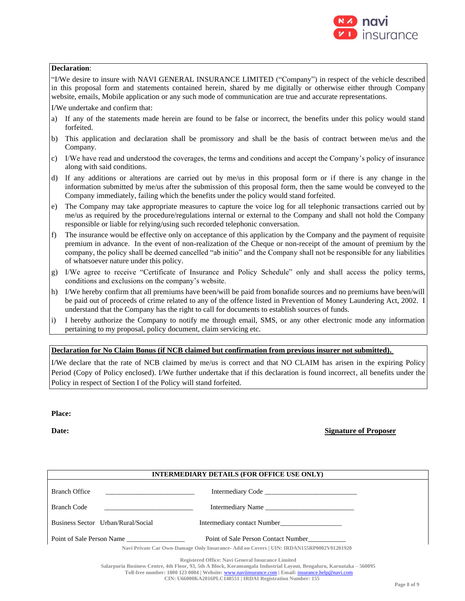

## **Declaration**:

"I/We desire to insure with NAVI GENERAL INSURANCE LIMITED ("Company") in respect of the vehicle described in this proposal form and statements contained herein, shared by me digitally or otherwise either through Company website, emails, Mobile application or any such mode of communication are true and accurate representations.

I/We undertake and confirm that:

- a) If any of the statements made herein are found to be false or incorrect, the benefits under this policy would stand forfeited.
- b) This application and declaration shall be promissory and shall be the basis of contract between me/us and the Company.
- c) I/We have read and understood the coverages, the terms and conditions and accept the Company's policy of insurance along with said conditions.
- d) If any additions or alterations are carried out by me/us in this proposal form or if there is any change in the information submitted by me/us after the submission of this proposal form, then the same would be conveyed to the Company immediately, failing which the benefits under the policy would stand forfeited.
- e) The Company may take appropriate measures to capture the voice log for all telephonic transactions carried out by me/us as required by the procedure/regulations internal or external to the Company and shall not hold the Company responsible or liable for relying/using such recorded telephonic conversation.
- f) The insurance would be effective only on acceptance of this application by the Company and the payment of requisite premium in advance. In the event of non-realization of the Cheque or non-receipt of the amount of premium by the company, the policy shall be deemed cancelled "ab initio" and the Company shall not be responsible for any liabilities of whatsoever nature under this policy.
- g) I/We agree to receive "Certificate of Insurance and Policy Schedule" only and shall access the policy terms, conditions and exclusions on the company's website.
- h) I/We hereby confirm that all premiums have been/will be paid from bonafide sources and no premiums have been/will be paid out of proceeds of crime related to any of the offence listed in Prevention of Money Laundering Act, 2002. I understand that the Company has the right to call for documents to establish sources of funds.
- i) I hereby authorize the Company to notify me through email, SMS, or any other electronic mode any information pertaining to my proposal, policy document, claim servicing etc.

## **Declaration for No Claim Bonus (if NCB claimed but confirmation from previous insurer not submitted).**

I/We declare that the rate of NCB claimed by me/us is correct and that NO CLAIM has arisen in the expiring Policy Period (Copy of Policy enclosed). I/We further undertake that if this declaration is found incorrect, all benefits under the Policy in respect of Section I of the Policy will stand forfeited.

**Place:**

## **Date: Signature of Proposer**

| <b>INTERMEDIARY DETAILS (FOR OFFICE USE ONLY)</b>                                        |                                     |  |  |  |  |
|------------------------------------------------------------------------------------------|-------------------------------------|--|--|--|--|
| <b>Branch Office</b><br>the control of the control of the control of the control of      |                                     |  |  |  |  |
| <b>Branch Code</b><br><u> 1980 - John Stein, Amerikaansk politiker (</u>                 | Intermediary Name                   |  |  |  |  |
| Business Sector Urban/Rural/Social                                                       | Intermediary contact Number         |  |  |  |  |
| Point of Sale Person Name                                                                | Point of Sale Person Contact Number |  |  |  |  |
| Navi Private Car Own-Damage Only Insurance- Add on Covers   UIN: IRDAN155RP0002V01201920 |                                     |  |  |  |  |

**Registered Office: Navi General Insurance Limited**

**Toll-free number: 1800 123 0004 | Website:** [www.naviinsurance.com](http://www.naviinsurance.com/) **| Email:** [insurance.help@navi.com](mailto:insurance.help@navi.com)